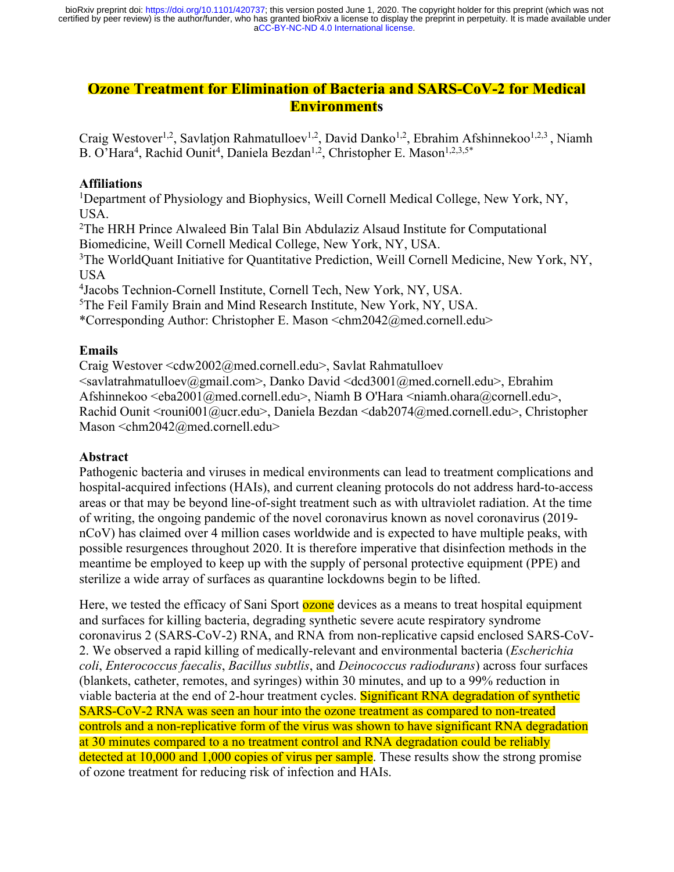# **Ozone Treatment for Elimination of Bacteria and SARS-CoV-2 for Medical Environments**

Craig Westover<sup>1,2</sup>, Savlation Rahmatulloev<sup>1,2</sup>, David Danko<sup>1,2</sup>, Ebrahim Afshinnekoo<sup>1,2,3</sup>, Niamh B. O'Hara<sup>4</sup>, Rachid Ounit<sup>4</sup>, Daniela Bezdan<sup>1,2</sup>, Christopher E. Mason<sup>1,2,3,5\*</sup>

#### **Affiliations**

<sup>1</sup>Department of Physiology and Biophysics, Weill Cornell Medical College, New York, NY, USA.

<sup>2</sup>The HRH Prince Alwaleed Bin Talal Bin Abdulaziz Alsaud Institute for Computational Biomedicine, Weill Cornell Medical College, New York, NY, USA.

<sup>3</sup>The WorldQuant Initiative for Quantitative Prediction, Weill Cornell Medicine, New York, NY, USA

4 Jacobs Technion-Cornell Institute, Cornell Tech, New York, NY, USA.

5 The Feil Family Brain and Mind Research Institute, New York, NY, USA.

\*Corresponding Author: Christopher E. Mason <chm2042@med.cornell.edu>

#### **Emails**

Craig Westover <cdw2002@med.cornell.edu>, Savlat Rahmatulloev

<savlatrahmatulloev@gmail.com>, Danko David <dcd3001@med.cornell.edu>, Ebrahim Afshinnekoo  $\leq$ eba2001@med.cornell.edu>, Niamh B O'Hara  $\leq$ niamh.ohara@cornell.edu>, Rachid Ounit <rouni001@ucr.edu>, Daniela Bezdan <dab2074@med.cornell.edu>, Christopher Mason <chm2042@med.cornell.edu>

### **Abstract**

Pathogenic bacteria and viruses in medical environments can lead to treatment complications and hospital-acquired infections (HAIs), and current cleaning protocols do not address hard-to-access areas or that may be beyond line-of-sight treatment such as with ultraviolet radiation. At the time of writing, the ongoing pandemic of the novel coronavirus known as novel coronavirus (2019 nCoV) has claimed over 4 million cases worldwide and is expected to have multiple peaks, with possible resurgences throughout 2020. It is therefore imperative that disinfection methods in the meantime be employed to keep up with the supply of personal protective equipment (PPE) and sterilize a wide array of surfaces as quarantine lockdowns begin to be lifted.

Here, we tested the efficacy of Sani Sport **ozone** devices as a means to treat hospital equipment and surfaces for killing bacteria, degrading synthetic severe acute respiratory syndrome coronavirus 2 (SARS-CoV-2) RNA, and RNA from non-replicative capsid enclosed SARS-CoV-2. We observed a rapid killing of medically-relevant and environmental bacteria (*Escherichia coli*, *Enterococcus faecalis*, *Bacillus subtlis*, and *Deinococcus radiodurans*) across four surfaces (blankets, catheter, remotes, and syringes) within 30 minutes, and up to a 99% reduction in viable bacteria at the end of 2-hour treatment cycles. Significant RNA degradation of synthetic SARS-CoV-2 RNA was seen an hour into the ozone treatment as compared to non-treated controls and a non-replicative form of the virus was shown to have significant RNA degradation at 30 minutes compared to a no treatment control and RNA degradation could be reliably detected at 10,000 and 1,000 copies of virus per sample. These results show the strong promise of ozone treatment for reducing risk of infection and HAIs.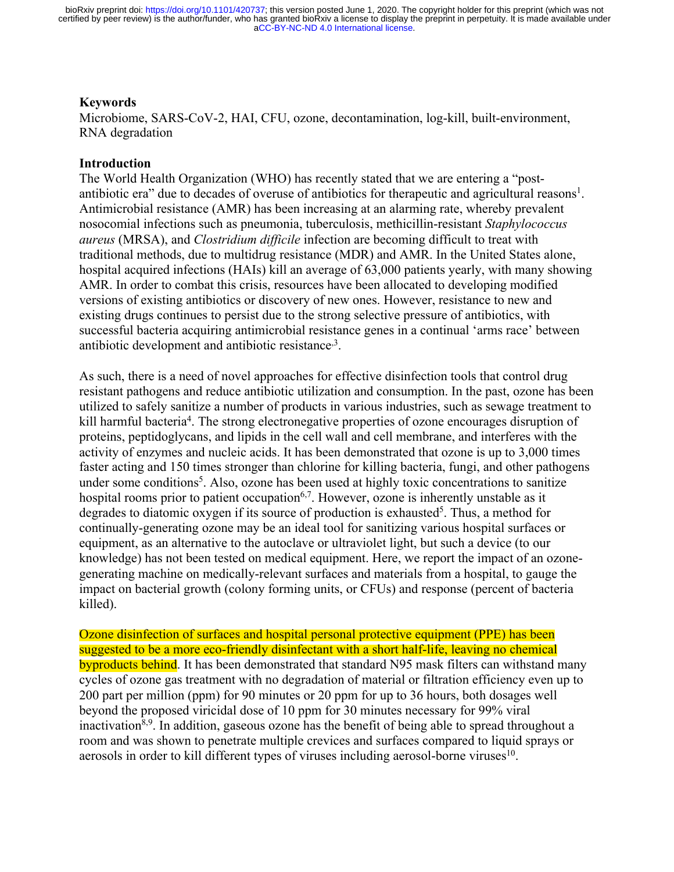#### **Keywords**

Microbiome, SARS-CoV-2, HAI, CFU, ozone, decontamination, log-kill, built-environment, RNA degradation

#### **Introduction**

The World Health Organization (WHO) has recently stated that we are entering a "postantibiotic era" due to decades of overuse of antibiotics for therapeutic and agricultural reasons<sup>1</sup>. Antimicrobial resistance (AMR) has been increasing at an alarming rate, whereby prevalent nosocomial infections such as pneumonia, tuberculosis, methicillin-resistant *Staphylococcus aureus* (MRSA), and *Clostridium difficile* infection are becoming difficult to treat with traditional methods, due to multidrug resistance (MDR) and AMR. In the United States alone, hospital acquired infections (HAIs) kill an average of 63,000 patients yearly, with many showing AMR. In order to combat this crisis, resources have been allocated to developing modified versions of existing antibiotics or discovery of new ones. However, resistance to new and existing drugs continues to persist due to the strong selective pressure of antibiotics, with successful bacteria acquiring antimicrobial resistance genes in a continual 'arms race' between antibiotic development and antibiotic resistance<sup>3</sup>.

As such, there is a need of novel approaches for effective disinfection tools that control drug resistant pathogens and reduce antibiotic utilization and consumption. In the past, ozone has been utilized to safely sanitize a number of products in various industries, such as sewage treatment to kill harmful bacteria<sup>4</sup>. The strong electronegative properties of ozone encourages disruption of proteins, peptidoglycans, and lipids in the cell wall and cell membrane, and interferes with the activity of enzymes and nucleic acids. It has been demonstrated that ozone is up to 3,000 times faster acting and 150 times stronger than chlorine for killing bacteria, fungi, and other pathogens under some conditions<sup>5</sup>. Also, ozone has been used at highly toxic concentrations to sanitize hospital rooms prior to patient occupation<sup>6,7</sup>. However, ozone is inherently unstable as it degrades to diatomic oxygen if its source of production is exhausted<sup>5</sup>. Thus, a method for continually-generating ozone may be an ideal tool for sanitizing various hospital surfaces or equipment, as an alternative to the autoclave or ultraviolet light, but such a device (to our knowledge) has not been tested on medical equipment. Here, we report the impact of an ozonegenerating machine on medically-relevant surfaces and materials from a hospital, to gauge the impact on bacterial growth (colony forming units, or CFUs) and response (percent of bacteria killed).

Ozone disinfection of surfaces and hospital personal protective equipment (PPE) has been suggested to be a more eco-friendly disinfectant with a short half-life, leaving no chemical byproducts behind. It has been demonstrated that standard N95 mask filters can withstand many cycles of ozone gas treatment with no degradation of material or filtration efficiency even up to 200 part per million (ppm) for 90 minutes or 20 ppm for up to 36 hours, both dosages well beyond the proposed viricidal dose of 10 ppm for 30 minutes necessary for 99% viral inactivation<sup>8,9</sup>. In addition, gaseous ozone has the benefit of being able to spread throughout a room and was shown to penetrate multiple crevices and surfaces compared to liquid sprays or aerosols in order to kill different types of viruses including aerosol-borne viruses $10$ .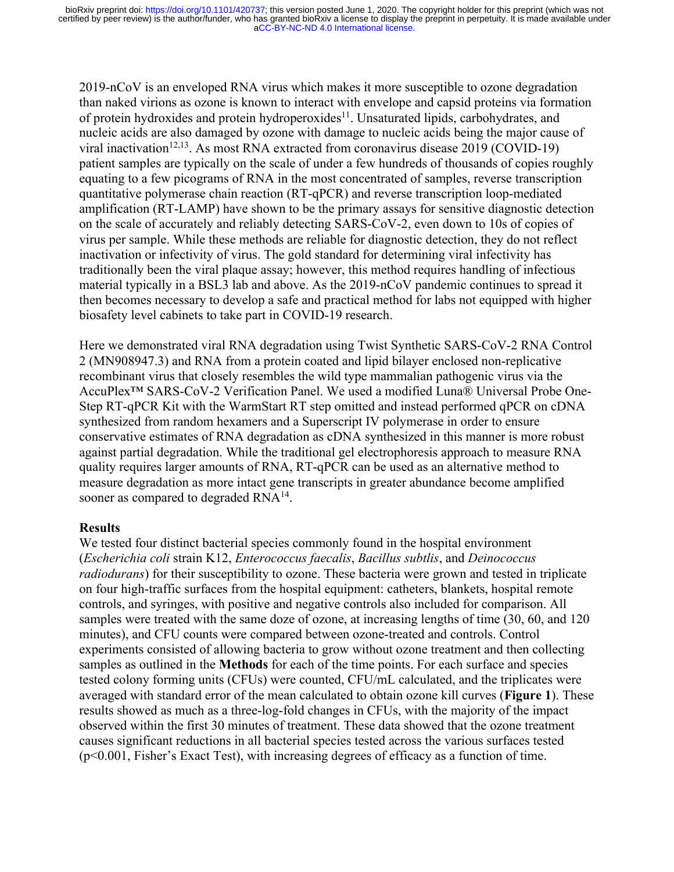2019-nCoV is an enveloped RNA virus which makes it more susceptible to ozone degradation than naked virions as ozone is known to interact with envelope and capsid proteins via formation of protein hydroxides and protein hydroperoxides<sup>11</sup>. Unsaturated lipids, carbohydrates, and nucleic acids are also damaged by ozone with damage to nucleic acids being the major cause of viral inactivation<sup>12,13</sup>. As most RNA extracted from coronavirus disease 2019 (COVID-19) patient samples are typically on the scale of under a few hundreds of thousands of copies roughly equating to a few picograms of RNA in the most concentrated of samples, reverse transcription quantitative polymerase chain reaction (RT-qPCR) and reverse transcription loop-mediated amplification (RT-LAMP) have shown to be the primary assays for sensitive diagnostic detection on the scale of accurately and reliably detecting SARS-CoV-2, even down to 10s of copies of virus per sample. While these methods are reliable for diagnostic detection, they do not reflect inactivation or infectivity of virus. The gold standard for determining viral infectivity has traditionally been the viral plaque assay; however, this method requires handling of infectious material typically in a BSL3 lab and above. As the 2019-nCoV pandemic continues to spread it then becomes necessary to develop a safe and practical method for labs not equipped with higher biosafety level cabinets to take part in COVID-19 research.

Here we demonstrated viral RNA degradation using Twist Synthetic SARS-CoV-2 RNA Control 2 (MN908947.3) and RNA from a protein coated and lipid bilayer enclosed non-replicative recombinant virus that closely resembles the wild type mammalian pathogenic virus via the AccuPlex™ SARS-CoV-2 Verification Panel. We used a modified Luna® Universal Probe One-Step RT-qPCR Kit with the WarmStart RT step omitted and instead performed qPCR on cDNA synthesized from random hexamers and a Superscript IV polymerase in order to ensure conservative estimates of RNA degradation as cDNA synthesized in this manner is more robust against partial degradation. While the traditional gel electrophoresis approach to measure RNA quality requires larger amounts of RNA, RT-qPCR can be used as an alternative method to measure degradation as more intact gene transcripts in greater abundance become amplified sooner as compared to degraded  $RNA^{14}$ .

### **Results**

We tested four distinct bacterial species commonly found in the hospital environment (*Escherichia coli* strain K12, *Enterococcus faecalis*, *Bacillus subtlis*, and *Deinococcus radiodurans*) for their susceptibility to ozone. These bacteria were grown and tested in triplicate on four high-traffic surfaces from the hospital equipment: catheters, blankets, hospital remote controls, and syringes, with positive and negative controls also included for comparison. All samples were treated with the same doze of ozone, at increasing lengths of time (30, 60, and 120 minutes), and CFU counts were compared between ozone-treated and controls. Control experiments consisted of allowing bacteria to grow without ozone treatment and then collecting samples as outlined in the **Methods** for each of the time points. For each surface and species tested colony forming units (CFUs) were counted, CFU/mL calculated, and the triplicates were averaged with standard error of the mean calculated to obtain ozone kill curves (**Figure 1**). These results showed as much as a three-log-fold changes in CFUs, with the majority of the impact observed within the first 30 minutes of treatment. These data showed that the ozone treatment causes significant reductions in all bacterial species tested across the various surfaces tested (p<0.001, Fisher's Exact Test), with increasing degrees of efficacy as a function of time.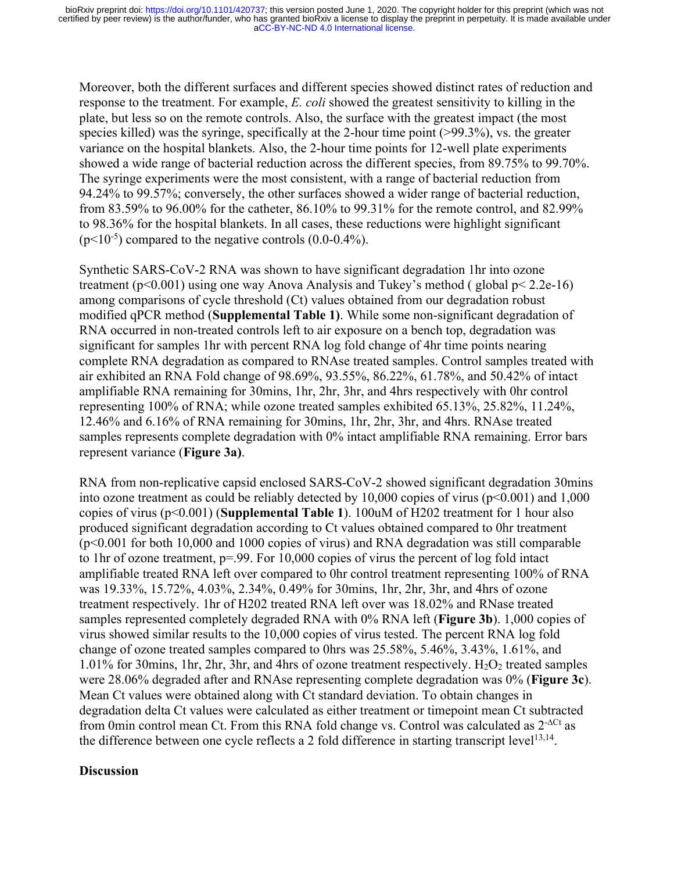Moreover, both the different surfaces and different species showed distinct rates of reduction and response to the treatment. For example, *E. coli* showed the greatest sensitivity to killing in the plate, but less so on the remote controls. Also, the surface with the greatest impact (the most species killed) was the syringe, specifically at the 2-hour time point (>99.3%), vs. the greater variance on the hospital blankets. Also, the 2-hour time points for 12-well plate experiments showed a wide range of bacterial reduction across the different species, from 89.75% to 99.70%. The syringe experiments were the most consistent, with a range of bacterial reduction from 94.24% to 99.57%; conversely, the other surfaces showed a wider range of bacterial reduction, from 83.59% to 96.00% for the catheter, 86.10% to 99.31% for the remote control, and 82.99% to 98.36% for the hospital blankets. In all cases, these reductions were highlight significant  $(p<10<sup>-5</sup>)$  compared to the negative controls  $(0.0-0.4\%)$ .

Synthetic SARS-CoV-2 RNA was shown to have significant degradation 1hr into ozone treatment (p<0.001) using one way Anova Analysis and Tukey's method ( global p< 2.2e-16) among comparisons of cycle threshold (Ct) values obtained from our degradation robust modified qPCR method (**Supplemental Table 1)**. While some non-significant degradation of RNA occurred in non-treated controls left to air exposure on a bench top, degradation was significant for samples 1hr with percent RNA log fold change of 4hr time points nearing complete RNA degradation as compared to RNAse treated samples. Control samples treated with air exhibited an RNA Fold change of 98.69%, 93.55%, 86.22%, 61.78%, and 50.42% of intact amplifiable RNA remaining for 30mins, 1hr, 2hr, 3hr, and 4hrs respectively with 0hr control representing 100% of RNA; while ozone treated samples exhibited 65.13%, 25.82%, 11.24%, 12.46% and 6.16% of RNA remaining for 30mins, 1hr, 2hr, 3hr, and 4hrs. RNAse treated samples represents complete degradation with 0% intact amplifiable RNA remaining. Error bars represent variance (**Figure 3a)**.

RNA from non-replicative capsid enclosed SARS-CoV-2 showed significant degradation 30mins into ozone treatment as could be reliably detected by 10,000 copies of virus ( $p<0.001$ ) and 1,000 copies of virus (p<0.001) (**Supplemental Table 1**). 100uM of H202 treatment for 1 hour also produced significant degradation according to Ct values obtained compared to 0hr treatment  $(p<0.001$  for both 10,000 and 1000 copies of virus) and RNA degradation was still comparable to 1hr of ozone treatment, p=.99. For 10,000 copies of virus the percent of log fold intact amplifiable treated RNA left over compared to 0hr control treatment representing 100% of RNA was 19.33%, 15.72%, 4.03%, 2.34%, 0.49% for 30mins, 1hr, 2hr, 3hr, and 4hrs of ozone treatment respectively. 1hr of H202 treated RNA left over was 18.02% and RNase treated samples represented completely degraded RNA with 0% RNA left (**Figure 3b**). 1,000 copies of virus showed similar results to the 10,000 copies of virus tested. The percent RNA log fold change of ozone treated samples compared to 0hrs was 25.58%, 5.46%, 3.43%, 1.61%, and  $1.01\%$  for 30mins, 1hr, 2hr, 3hr, and 4hrs of ozone treatment respectively.  $H_2O_2$  treated samples were 28.06% degraded after and RNAse representing complete degradation was 0% (**Figure 3c**). Mean Ct values were obtained along with Ct standard deviation. To obtain changes in degradation delta Ct values were calculated as either treatment or timepoint mean Ct subtracted from 0min control mean Ct. From this RNA fold change vs. Control was calculated as  $2<sup>-\Delta Ct</sup>$  as the difference between one cycle reflects a 2 fold difference in starting transcript level<sup>13,14</sup>.

### **Discussion**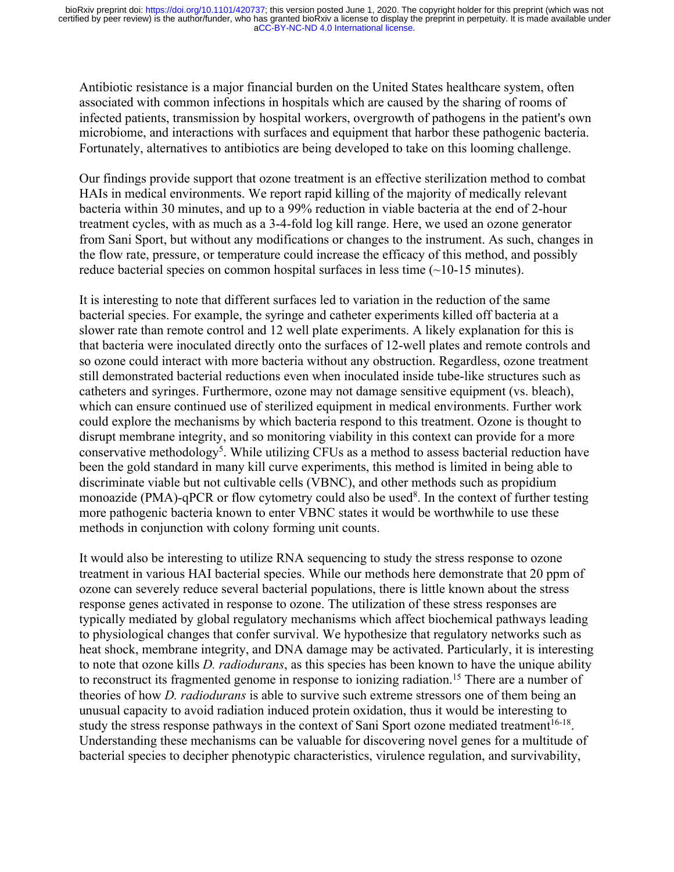Antibiotic resistance is a major financial burden on the United States healthcare system, often associated with common infections in hospitals which are caused by the sharing of rooms of infected patients, transmission by hospital workers, overgrowth of pathogens in the patient's own microbiome, and interactions with surfaces and equipment that harbor these pathogenic bacteria. Fortunately, alternatives to antibiotics are being developed to take on this looming challenge.

Our findings provide support that ozone treatment is an effective sterilization method to combat HAIs in medical environments. We report rapid killing of the majority of medically relevant bacteria within 30 minutes, and up to a 99% reduction in viable bacteria at the end of 2-hour treatment cycles, with as much as a 3-4-fold log kill range. Here, we used an ozone generator from Sani Sport, but without any modifications or changes to the instrument. As such, changes in the flow rate, pressure, or temperature could increase the efficacy of this method, and possibly reduce bacterial species on common hospital surfaces in less time (~10-15 minutes).

It is interesting to note that different surfaces led to variation in the reduction of the same bacterial species. For example, the syringe and catheter experiments killed off bacteria at a slower rate than remote control and 12 well plate experiments. A likely explanation for this is that bacteria were inoculated directly onto the surfaces of 12-well plates and remote controls and so ozone could interact with more bacteria without any obstruction. Regardless, ozone treatment still demonstrated bacterial reductions even when inoculated inside tube-like structures such as catheters and syringes. Furthermore, ozone may not damage sensitive equipment (vs. bleach), which can ensure continued use of sterilized equipment in medical environments. Further work could explore the mechanisms by which bacteria respond to this treatment. Ozone is thought to disrupt membrane integrity, and so monitoring viability in this context can provide for a more conservative methodology<sup>5</sup>. While utilizing CFUs as a method to assess bacterial reduction have been the gold standard in many kill curve experiments, this method is limited in being able to discriminate viable but not cultivable cells (VBNC), and other methods such as propidium monoazide (PMA)-qPCR or flow cytometry could also be used<sup>8</sup>. In the context of further testing more pathogenic bacteria known to enter VBNC states it would be worthwhile to use these methods in conjunction with colony forming unit counts.

It would also be interesting to utilize RNA sequencing to study the stress response to ozone treatment in various HAI bacterial species. While our methods here demonstrate that 20 ppm of ozone can severely reduce several bacterial populations, there is little known about the stress response genes activated in response to ozone. The utilization of these stress responses are typically mediated by global regulatory mechanisms which affect biochemical pathways leading to physiological changes that confer survival. We hypothesize that regulatory networks such as heat shock, membrane integrity, and DNA damage may be activated. Particularly, it is interesting to note that ozone kills *D. radiodurans*, as this species has been known to have the unique ability to reconstruct its fragmented genome in response to ionizing radiation.<sup>15</sup> There are a number of theories of how *D. radiodurans* is able to survive such extreme stressors one of them being an unusual capacity to avoid radiation induced protein oxidation, thus it would be interesting to study the stress response pathways in the context of Sani Sport ozone mediated treatment<sup>16-18</sup>. Understanding these mechanisms can be valuable for discovering novel genes for a multitude of bacterial species to decipher phenotypic characteristics, virulence regulation, and survivability,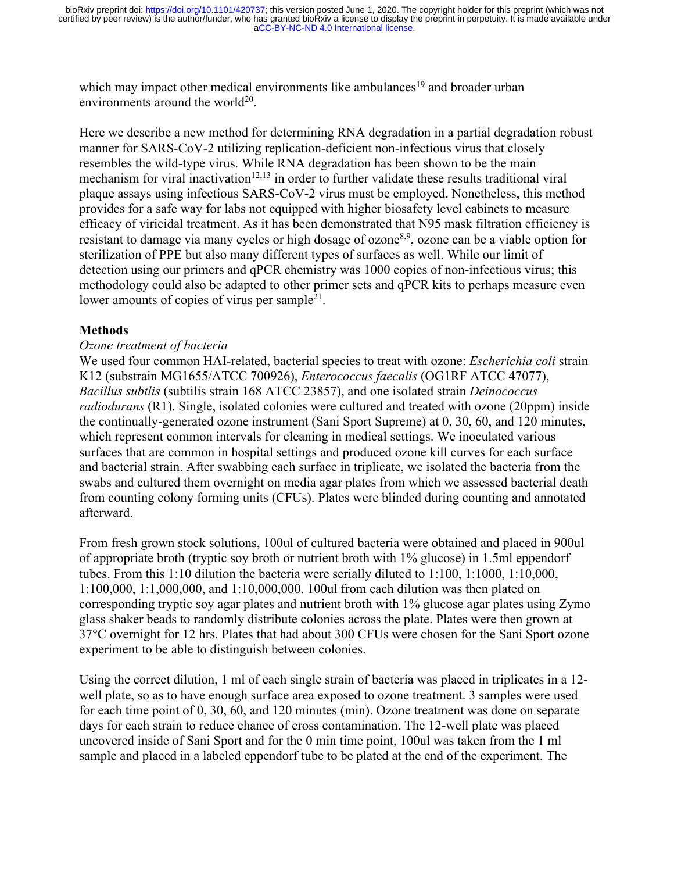which may impact other medical environments like ambulances<sup>19</sup> and broader urban environments around the world $^{20}$ .

Here we describe a new method for determining RNA degradation in a partial degradation robust manner for SARS-CoV-2 utilizing replication-deficient non-infectious virus that closely resembles the wild-type virus. While RNA degradation has been shown to be the main mechanism for viral inactivation<sup>12,13</sup> in order to further validate these results traditional viral plaque assays using infectious SARS-CoV-2 virus must be employed. Nonetheless, this method provides for a safe way for labs not equipped with higher biosafety level cabinets to measure efficacy of viricidal treatment. As it has been demonstrated that N95 mask filtration efficiency is resistant to damage via many cycles or high dosage of ozone<sup>8,9</sup>, ozone can be a viable option for sterilization of PPE but also many different types of surfaces as well. While our limit of detection using our primers and qPCR chemistry was 1000 copies of non-infectious virus; this methodology could also be adapted to other primer sets and qPCR kits to perhaps measure even lower amounts of copies of virus per sample<sup>21</sup>.

# **Methods**

# *Ozone treatment of bacteria*

We used four common HAI-related, bacterial species to treat with ozone: *Escherichia coli* strain K12 (substrain MG1655/ATCC 700926), *Enterococcus faecalis* (OG1RF ATCC 47077), *Bacillus subtlis* (subtilis strain 168 ATCC 23857), and one isolated strain *Deinococcus radiodurans* (R1). Single, isolated colonies were cultured and treated with ozone (20ppm) inside the continually-generated ozone instrument (Sani Sport Supreme) at 0, 30, 60, and 120 minutes, which represent common intervals for cleaning in medical settings. We inoculated various surfaces that are common in hospital settings and produced ozone kill curves for each surface and bacterial strain. After swabbing each surface in triplicate, we isolated the bacteria from the swabs and cultured them overnight on media agar plates from which we assessed bacterial death from counting colony forming units (CFUs). Plates were blinded during counting and annotated afterward.

From fresh grown stock solutions, 100ul of cultured bacteria were obtained and placed in 900ul of appropriate broth (tryptic soy broth or nutrient broth with 1% glucose) in 1.5ml eppendorf tubes. From this 1:10 dilution the bacteria were serially diluted to 1:100, 1:1000, 1:10,000, 1:100,000, 1:1,000,000, and 1:10,000,000. 100ul from each dilution was then plated on corresponding tryptic soy agar plates and nutrient broth with 1% glucose agar plates using Zymo glass shaker beads to randomly distribute colonies across the plate. Plates were then grown at 37°C overnight for 12 hrs. Plates that had about 300 CFUs were chosen for the Sani Sport ozone experiment to be able to distinguish between colonies.

Using the correct dilution, 1 ml of each single strain of bacteria was placed in triplicates in a 12 well plate, so as to have enough surface area exposed to ozone treatment. 3 samples were used for each time point of 0, 30, 60, and 120 minutes (min). Ozone treatment was done on separate days for each strain to reduce chance of cross contamination. The 12-well plate was placed uncovered inside of Sani Sport and for the 0 min time point, 100ul was taken from the 1 ml sample and placed in a labeled eppendorf tube to be plated at the end of the experiment. The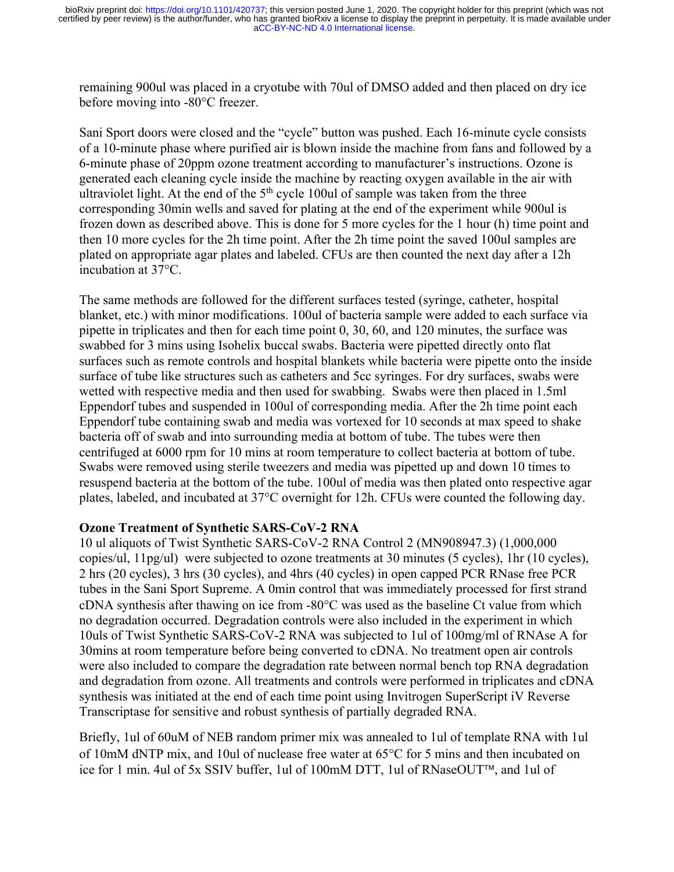remaining 900ul was placed in a cryotube with 70ul of DMSO added and then placed on dry ice before moving into -80°C freezer.

Sani Sport doors were closed and the "cycle" button was pushed. Each 16-minute cycle consists of a 10-minute phase where purified air is blown inside the machine from fans and followed by a 6-minute phase of 20ppm ozone treatment according to manufacturer's instructions. Ozone is generated each cleaning cycle inside the machine by reacting oxygen available in the air with ultraviolet light. At the end of the  $5<sup>th</sup>$  cycle 100ul of sample was taken from the three corresponding 30min wells and saved for plating at the end of the experiment while 900ul is frozen down as described above. This is done for 5 more cycles for the 1 hour (h) time point and then 10 more cycles for the 2h time point. After the 2h time point the saved 100ul samples are plated on appropriate agar plates and labeled. CFUs are then counted the next day after a 12h incubation at 37°C.

The same methods are followed for the different surfaces tested (syringe, catheter, hospital blanket, etc.) with minor modifications. 100ul of bacteria sample were added to each surface via pipette in triplicates and then for each time point 0, 30, 60, and 120 minutes, the surface was swabbed for 3 mins using Isohelix buccal swabs. Bacteria were pipetted directly onto flat surfaces such as remote controls and hospital blankets while bacteria were pipette onto the inside surface of tube like structures such as catheters and 5cc syringes. For dry surfaces, swabs were wetted with respective media and then used for swabbing. Swabs were then placed in 1.5ml Eppendorf tubes and suspended in 100ul of corresponding media. After the 2h time point each Eppendorf tube containing swab and media was vortexed for 10 seconds at max speed to shake bacteria off of swab and into surrounding media at bottom of tube. The tubes were then centrifuged at 6000 rpm for 10 mins at room temperature to collect bacteria at bottom of tube. Swabs were removed using sterile tweezers and media was pipetted up and down 10 times to resuspend bacteria at the bottom of the tube. 100ul of media was then plated onto respective agar plates, labeled, and incubated at 37°C overnight for 12h. CFUs were counted the following day.

# **Ozone Treatment of Synthetic SARS-CoV-2 RNA**

10 ul aliquots of Twist Synthetic SARS-CoV-2 RNA Control 2 (MN908947.3) (1,000,000 copies/ul, 11pg/ul) were subjected to ozone treatments at 30 minutes (5 cycles), 1hr (10 cycles), 2 hrs (20 cycles), 3 hrs (30 cycles), and 4hrs (40 cycles) in open capped PCR RNase free PCR tubes in the Sani Sport Supreme. A 0min control that was immediately processed for first strand cDNA synthesis after thawing on ice from -80°C was used as the baseline Ct value from which no degradation occurred. Degradation controls were also included in the experiment in which 10uls of Twist Synthetic SARS-CoV-2 RNA was subjected to 1ul of 100mg/ml of RNAse A for 30mins at room temperature before being converted to cDNA. No treatment open air controls were also included to compare the degradation rate between normal bench top RNA degradation and degradation from ozone. All treatments and controls were performed in triplicates and cDNA synthesis was initiated at the end of each time point using Invitrogen SuperScript iV Reverse Transcriptase for sensitive and robust synthesis of partially degraded RNA.

Briefly, 1ul of 60uM of NEB random primer mix was annealed to 1ul of template RNA with 1ul of 10mM dNTP mix, and 10ul of nuclease free water at 65°C for 5 mins and then incubated on ice for 1 min. 4ul of 5x SSIV buffer, 1ul of 100mM DTT, 1ul of RNaseOUT™, and 1ul of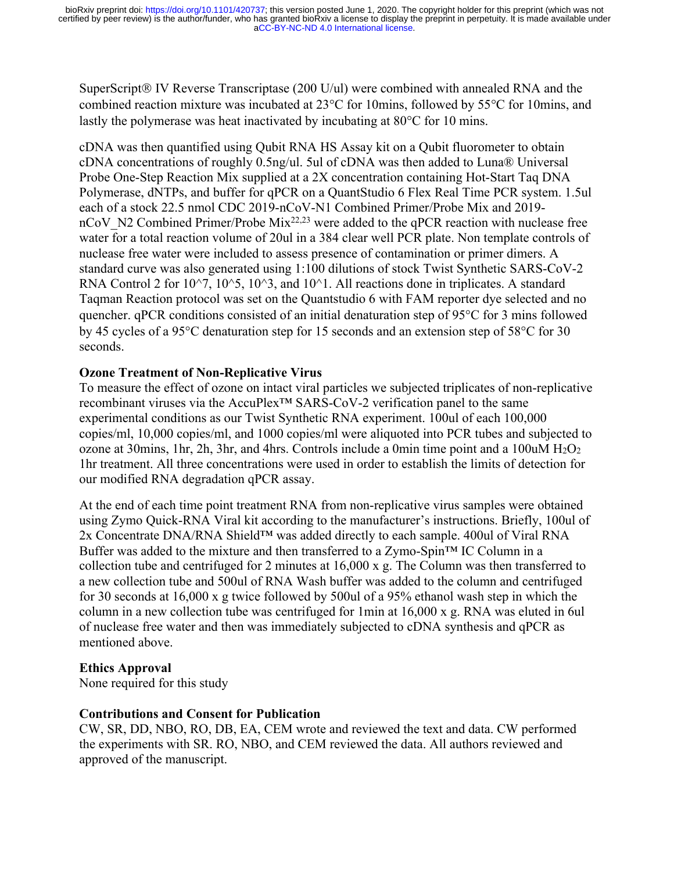SuperScript $\circledR$  IV Reverse Transcriptase (200 U/ul) were combined with annealed RNA and the combined reaction mixture was incubated at 23°C for 10mins, followed by 55°C for 10mins, and lastly the polymerase was heat inactivated by incubating at 80°C for 10 mins.

cDNA was then quantified using Qubit RNA HS Assay kit on a Qubit fluorometer to obtain cDNA concentrations of roughly 0.5ng/ul. 5ul of cDNA was then added to Luna® Universal Probe One-Step Reaction Mix supplied at a 2X concentration containing Hot-Start Taq DNA Polymerase, dNTPs, and buffer for qPCR on a QuantStudio 6 Flex Real Time PCR system. 1.5ul each of a stock 22.5 nmol CDC 2019-nCoV-N1 Combined Primer/Probe Mix and 2019 nCoV N2 Combined Primer/Probe Mix<sup>22,23</sup> were added to the qPCR reaction with nuclease free water for a total reaction volume of 20ul in a 384 clear well PCR plate. Non template controls of nuclease free water were included to assess presence of contamination or primer dimers. A standard curve was also generated using 1:100 dilutions of stock Twist Synthetic SARS-CoV-2 RNA Control 2 for  $10^{\circ}7$ ,  $10^{\circ}5$ ,  $10^{\circ}3$ , and  $10^{\circ}1$ . All reactions done in triplicates. A standard Taqman Reaction protocol was set on the Quantstudio 6 with FAM reporter dye selected and no quencher. qPCR conditions consisted of an initial denaturation step of 95°C for 3 mins followed by 45 cycles of a 95°C denaturation step for 15 seconds and an extension step of 58°C for 30 seconds.

### **Ozone Treatment of Non-Replicative Virus**

To measure the effect of ozone on intact viral particles we subjected triplicates of non-replicative recombinant viruses via the AccuPlex™ SARS-CoV-2 verification panel to the same experimental conditions as our Twist Synthetic RNA experiment. 100ul of each 100,000 copies/ml, 10,000 copies/ml, and 1000 copies/ml were aliquoted into PCR tubes and subjected to ozone at 30mins, 1hr, 2h, 3hr, and 4hrs. Controls include a 0min time point and a 100uM  $H_2O_2$ 1hr treatment. All three concentrations were used in order to establish the limits of detection for our modified RNA degradation qPCR assay.

At the end of each time point treatment RNA from non-replicative virus samples were obtained using Zymo Quick-RNA Viral kit according to the manufacturer's instructions. Briefly, 100ul of 2x Concentrate DNA/RNA Shield™ was added directly to each sample. 400ul of Viral RNA Buffer was added to the mixture and then transferred to a Zymo-Spin™ IC Column in a collection tube and centrifuged for 2 minutes at 16,000 x g. The Column was then transferred to a new collection tube and 500ul of RNA Wash buffer was added to the column and centrifuged for 30 seconds at 16,000 x g twice followed by 500ul of a 95% ethanol wash step in which the column in a new collection tube was centrifuged for 1min at 16,000 x g. RNA was eluted in 6ul of nuclease free water and then was immediately subjected to cDNA synthesis and qPCR as mentioned above.

### **Ethics Approval**

None required for this study

# **Contributions and Consent for Publication**

CW, SR, DD, NBO, RO, DB, EA, CEM wrote and reviewed the text and data. CW performed the experiments with SR. RO, NBO, and CEM reviewed the data. All authors reviewed and approved of the manuscript.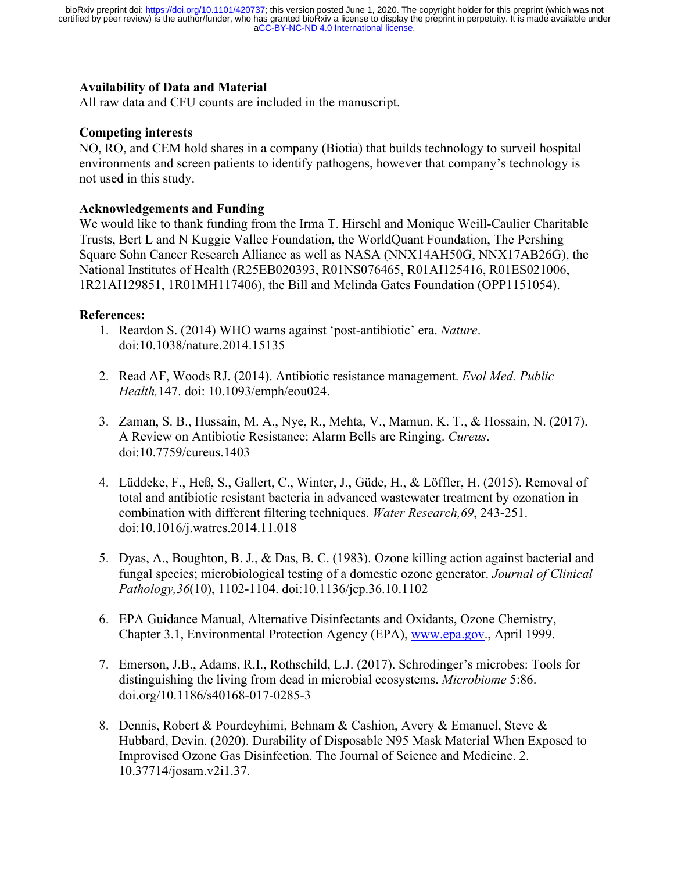### **Availability of Data and Material**

All raw data and CFU counts are included in the manuscript.

### **Competing interests**

NO, RO, and CEM hold shares in a company (Biotia) that builds technology to surveil hospital environments and screen patients to identify pathogens, however that company's technology is not used in this study.

### **Acknowledgements and Funding**

We would like to thank funding from the Irma T. Hirschl and Monique Weill-Caulier Charitable Trusts, Bert L and N Kuggie Vallee Foundation, the WorldQuant Foundation, The Pershing Square Sohn Cancer Research Alliance as well as NASA (NNX14AH50G, NNX17AB26G), the National Institutes of Health (R25EB020393, R01NS076465, R01AI125416, R01ES021006, 1R21AI129851, 1R01MH117406), the Bill and Melinda Gates Foundation (OPP1151054).

#### **References:**

- 1. Reardon S. (2014) WHO warns against 'post-antibiotic' era. *Nature*. doi:10.1038/nature.2014.15135
- 2. Read AF, Woods RJ. (2014). Antibiotic resistance management. *Evol Med. Public Health,*147. doi: 10.1093/emph/eou024.
- 3. Zaman, S. B., Hussain, M. A., Nye, R., Mehta, V., Mamun, K. T., & Hossain, N. (2017). A Review on Antibiotic Resistance: Alarm Bells are Ringing. *Cureus*. doi:10.7759/cureus.1403
- 4. Lüddeke, F., Heß, S., Gallert, C., Winter, J., Güde, H., & Löffler, H. (2015). Removal of total and antibiotic resistant bacteria in advanced wastewater treatment by ozonation in combination with different filtering techniques. *Water Research,69*, 243-251. doi:10.1016/j.watres.2014.11.018
- 5. Dyas, A., Boughton, B. J., & Das, B. C. (1983). Ozone killing action against bacterial and fungal species; microbiological testing of a domestic ozone generator. *Journal of Clinical Pathology,36*(10), 1102-1104. doi:10.1136/jcp.36.10.1102
- 6. EPA Guidance Manual, Alternative Disinfectants and Oxidants, Ozone Chemistry, Chapter 3.1, Environmental Protection Agency (EPA), www.epa.gov., April 1999.
- 7. Emerson, J.B., Adams, R.I., Rothschild, L.J. (2017). Schrodinger's microbes: Tools for distinguishing the living from dead in microbial ecosystems. *Microbiome* 5:86. doi.org/10.1186/s40168-017-0285-3
- 8. Dennis, Robert & Pourdeyhimi, Behnam & Cashion, Avery & Emanuel, Steve & Hubbard, Devin. (2020). Durability of Disposable N95 Mask Material When Exposed to Improvised Ozone Gas Disinfection. The Journal of Science and Medicine. 2. 10.37714/josam.v2i1.37.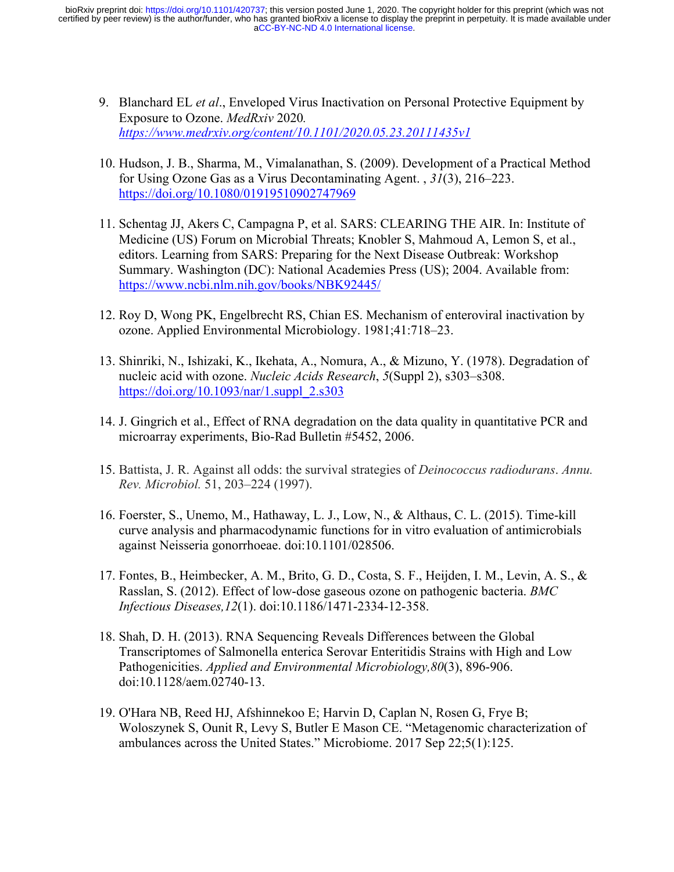- 9. Blanchard EL *et al*., Enveloped Virus Inactivation on Personal Protective Equipment by Exposure to Ozone. *MedRxiv* 2020*. https://www.medrxiv.org/content/10.1101/2020.05.23.20111435v1*
- 10. Hudson, J. B., Sharma, M., Vimalanathan, S. (2009). Development of a Practical Method for Using Ozone Gas as a Virus Decontaminating Agent. , *31*(3), 216–223. https://doi.org/10.1080/01919510902747969
- 11. Schentag JJ, Akers C, Campagna P, et al. SARS: CLEARING THE AIR. In: Institute of Medicine (US) Forum on Microbial Threats; Knobler S, Mahmoud A, Lemon S, et al., editors. Learning from SARS: Preparing for the Next Disease Outbreak: Workshop Summary. Washington (DC): National Academies Press (US); 2004. Available from: https://www.ncbi.nlm.nih.gov/books/NBK92445/
- 12. Roy D, Wong PK, Engelbrecht RS, Chian ES. Mechanism of enteroviral inactivation by ozone. Applied Environmental Microbiology. 1981;41:718–23.
- 13. Shinriki, N., Ishizaki, K., Ikehata, A., Nomura, A., & Mizuno, Y. (1978). Degradation of nucleic acid with ozone. *Nucleic Acids Research*, *5*(Suppl 2), s303–s308. https://doi.org/10.1093/nar/1.suppl\_2.s303
- 14. J. Gingrich et al., Effect of RNA degradation on the data quality in quantitative PCR and microarray experiments, Bio-Rad Bulletin #5452, 2006.
- 15. Battista, J. R. Against all odds: the survival strategies of *Deinococcus radiodurans*. *Annu. Rev. Microbiol.* 51, 203–224 (1997).
- 16. Foerster, S., Unemo, M., Hathaway, L. J., Low, N., & Althaus, C. L. (2015). Time-kill curve analysis and pharmacodynamic functions for in vitro evaluation of antimicrobials against Neisseria gonorrhoeae. doi:10.1101/028506.
- 17. Fontes, B., Heimbecker, A. M., Brito, G. D., Costa, S. F., Heijden, I. M., Levin, A. S., & Rasslan, S. (2012). Effect of low-dose gaseous ozone on pathogenic bacteria. *BMC Infectious Diseases,12*(1). doi:10.1186/1471-2334-12-358.
- 18. Shah, D. H. (2013). RNA Sequencing Reveals Differences between the Global Transcriptomes of Salmonella enterica Serovar Enteritidis Strains with High and Low Pathogenicities. *Applied and Environmental Microbiology,80*(3), 896-906. doi:10.1128/aem.02740-13.
- 19. O'Hara NB, Reed HJ, Afshinnekoo E; Harvin D, Caplan N, Rosen G, Frye B; Woloszynek S, Ounit R, Levy S, Butler E Mason CE. "Metagenomic characterization of ambulances across the United States." Microbiome. 2017 Sep 22;5(1):125.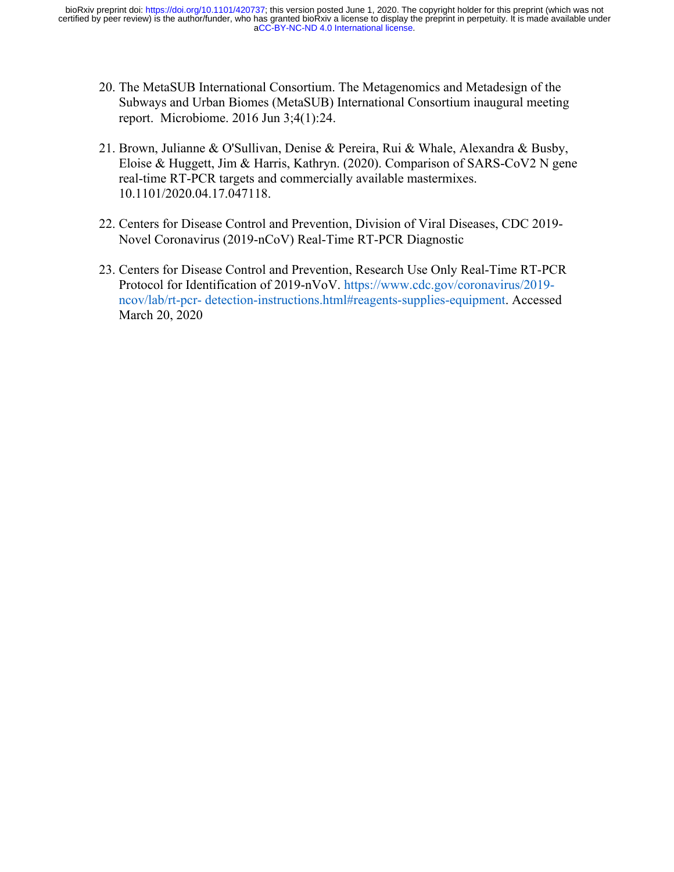- 20. The MetaSUB International Consortium. The Metagenomics and Metadesign of the Subways and Urban Biomes (MetaSUB) International Consortium inaugural meeting report. Microbiome. 2016 Jun 3;4(1):24.
- 21. Brown, Julianne & O'Sullivan, Denise & Pereira, Rui & Whale, Alexandra & Busby, Eloise & Huggett, Jim & Harris, Kathryn. (2020). Comparison of SARS-CoV2 N gene real-time RT-PCR targets and commercially available mastermixes. 10.1101/2020.04.17.047118.
- 22. Centers for Disease Control and Prevention, Division of Viral Diseases, CDC 2019- Novel Coronavirus (2019-nCoV) Real-Time RT-PCR Diagnostic
- 23. Centers for Disease Control and Prevention, Research Use Only Real-Time RT-PCR Protocol for Identification of 2019-nVoV. https://www.cdc.gov/coronavirus/2019 ncov/lab/rt-pcr- detection-instructions.html#reagents-supplies-equipment. Accessed March 20, 2020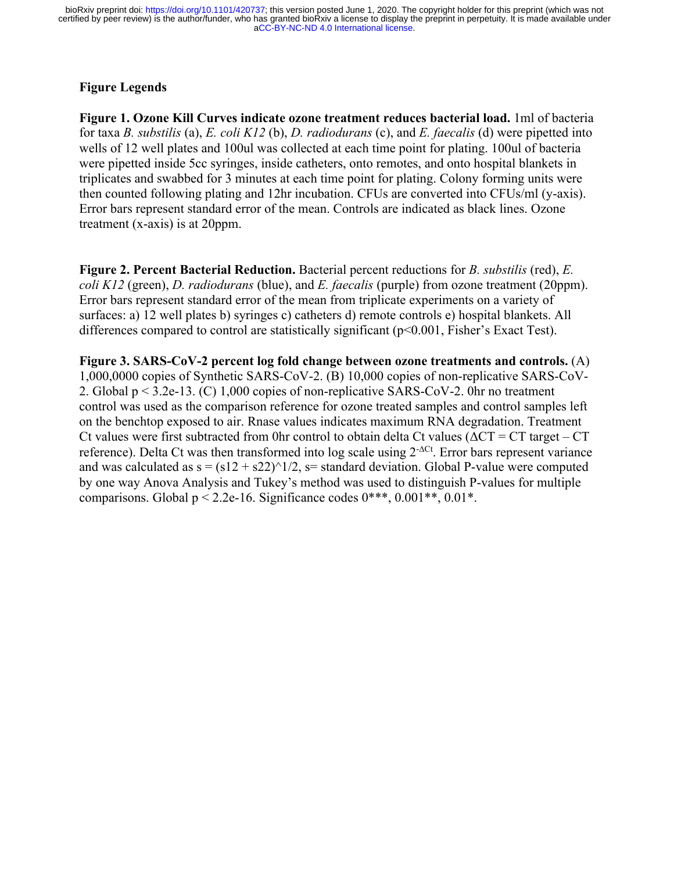# **Figure Legends**

**Figure 1. Ozone Kill Curves indicate ozone treatment reduces bacterial load.** 1ml of bacteria for taxa *B. substilis* (a), *E. coli K12* (b), *D. radiodurans* (c), and *E. faecalis* (d) were pipetted into wells of 12 well plates and 100ul was collected at each time point for plating. 100ul of bacteria were pipetted inside 5cc syringes, inside catheters, onto remotes, and onto hospital blankets in triplicates and swabbed for 3 minutes at each time point for plating. Colony forming units were then counted following plating and 12hr incubation. CFUs are converted into CFUs/ml (y-axis). Error bars represent standard error of the mean. Controls are indicated as black lines. Ozone treatment (x-axis) is at 20ppm.

**Figure 2. Percent Bacterial Reduction.** Bacterial percent reductions for *B. substilis* (red), *E. coli K12* (green), *D. radiodurans* (blue), and *E. faecalis* (purple) from ozone treatment (20ppm). Error bars represent standard error of the mean from triplicate experiments on a variety of surfaces: a) 12 well plates b) syringes c) catheters d) remote controls e) hospital blankets. All differences compared to control are statistically significant ( $p<0.001$ , Fisher's Exact Test).

**Figure 3. SARS-CoV-2 percent log fold change between ozone treatments and controls.** (A) 1,000,0000 copies of Synthetic SARS-CoV-2. (B) 10,000 copies of non-replicative SARS-CoV-2. Global p < 3.2e-13. (C) 1,000 copies of non-replicative SARS-CoV-2. 0hr no treatment control was used as the comparison reference for ozone treated samples and control samples left on the benchtop exposed to air. Rnase values indicates maximum RNA degradation. Treatment Ct values were first subtracted from 0hr control to obtain delta Ct values ( $\Delta CT = CT$  target – CT reference). Delta Ct was then transformed into log scale using 2-∆Ct. Error bars represent variance and was calculated as  $s = (s12 + s22)^{1/2}$ ,  $s=$  standard deviation. Global P-value were computed by one way Anova Analysis and Tukey's method was used to distinguish P-values for multiple comparisons. Global  $p < 2.2e-16$ . Significance codes  $0***$ ,  $0.001**$ ,  $0.01*$ .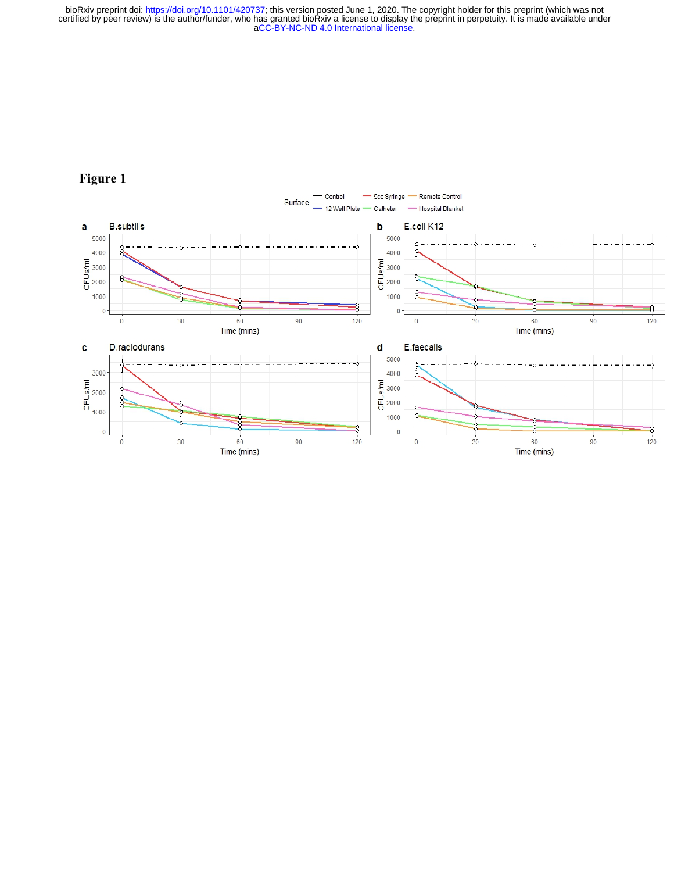

# **Figure 1**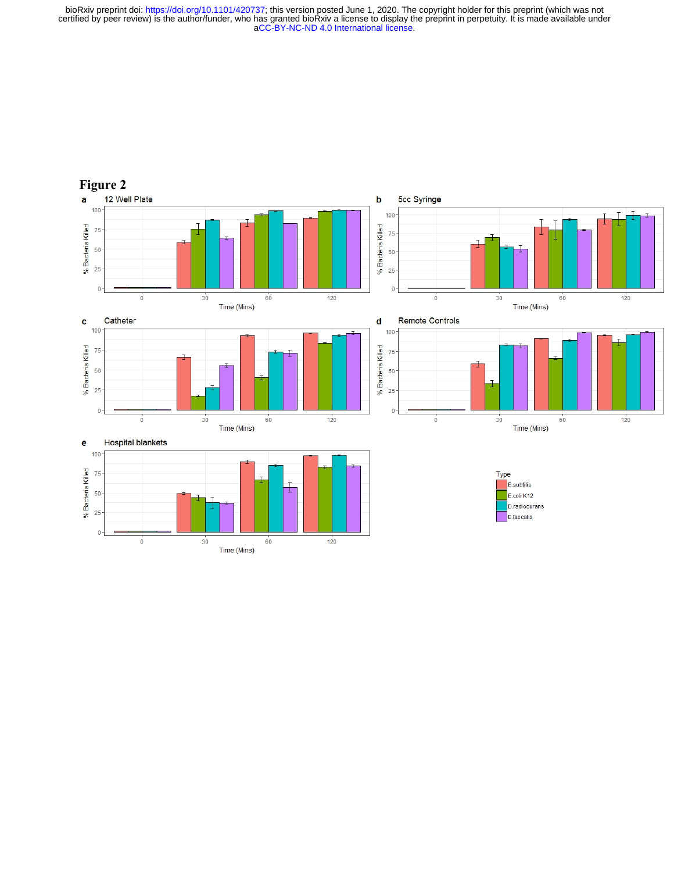